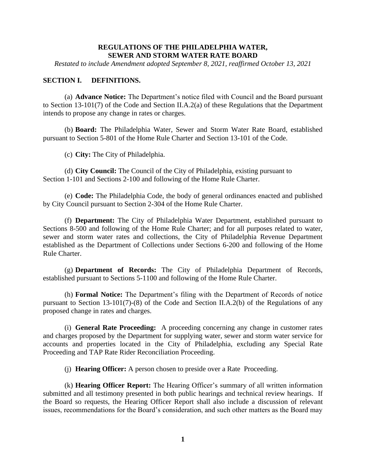#### **REGULATIONS OF THE PHILADELPHIA WATER, SEWER AND STORM WATER RATE BOARD**

*Restated to include Amendment adopted September 8, 2021, reaffirmed October 13, 2021*

#### **SECTION I. DEFINITIONS.**

(a) **Advance Notice:** The Department's notice filed with Council and the Board pursuant to Section 13-101(7) of the Code and Section II.A.2(a) of these Regulations that the Department intends to propose any change in rates or charges.

(b) **Board:** The Philadelphia Water, Sewer and Storm Water Rate Board, established pursuant to Section 5-801 of the Home Rule Charter and Section 13-101 of the Code.

(c) **City:** The City of Philadelphia.

(d) **City Council:** The Council of the City of Philadelphia, existing pursuant to Section 1-101 and Sections 2-100 and following of the Home Rule Charter.

(e) **Code:** The Philadelphia Code, the body of general ordinances enacted and published by City Council pursuant to Section 2-304 of the Home Rule Charter.

(f) **Department:** The City of Philadelphia Water Department, established pursuant to Sections 8-500 and following of the Home Rule Charter; and for all purposes related to water, sewer and storm water rates and collections, the City of Philadelphia Revenue Department established as the Department of Collections under Sections 6-200 and following of the Home Rule Charter.

(g) **Department of Records:** The City of Philadelphia Department of Records, established pursuant to Sections 5-1100 and following of the Home Rule Charter.

(h) **Formal Notice:** The Department's filing with the Department of Records of notice pursuant to Section 13-101(7)-(8) of the Code and Section II.A.2(b) of the Regulations of any proposed change in rates and charges.

(i) **General Rate Proceeding:** A proceeding concerning any change in customer rates and charges proposed by the Department for supplying water, sewer and storm water service for accounts and properties located in the City of Philadelphia, excluding any Special Rate Proceeding and TAP Rate Rider Reconciliation Proceeding.

(j) **Hearing Officer:** A person chosen to preside over a Rate Proceeding.

(k) **Hearing Officer Report:** The Hearing Officer's summary of all written information submitted and all testimony presented in both public hearings and technical review hearings. If the Board so requests, the Hearing Officer Report shall also include a discussion of relevant issues, recommendations for the Board's consideration, and such other matters as the Board may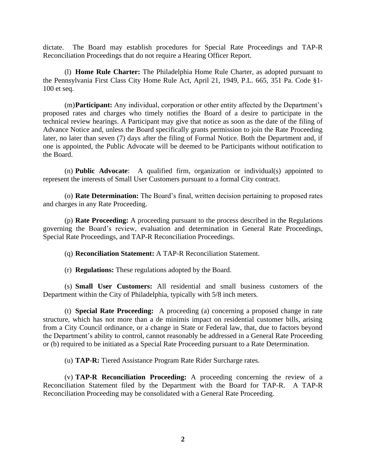dictate. The Board may establish procedures for Special Rate Proceedings and TAP-R Reconciliation Proceedings that do not require a Hearing Officer Report.

(l) **Home Rule Charter:** The Philadelphia Home Rule Charter, as adopted pursuant to the Pennsylvania First Class City Home Rule Act, April 21, 1949, P.L. 665, 351 Pa. Code §1- 100 et seq.

(m)**Participant:** Any individual, corporation or other entity affected by the Department's proposed rates and charges who timely notifies the Board of a desire to participate in the technical review hearings. A Participant may give that notice as soon as the date of the filing of Advance Notice and, unless the Board specifically grants permission to join the Rate Proceeding later, no later than seven (7) days after the filing of Formal Notice. Both the Department and, if one is appointed, the Public Advocate will be deemed to be Participants without notification to the Board.

(n) **Public Advocate**: A qualified firm, organization or individual(s) appointed to represent the interests of Small User Customers pursuant to a formal City contract.

(o) **Rate Determination:** The Board's final, written decision pertaining to proposed rates and charges in any Rate Proceeding.

(p) **Rate Proceeding:** A proceeding pursuant to the process described in the Regulations governing the Board's review, evaluation and determination in General Rate Proceedings, Special Rate Proceedings, and TAP-R Reconciliation Proceedings.

(q) **Reconciliation Statement:** A TAP-R Reconciliation Statement.

(r) **Regulations:** These regulations adopted by the Board.

(s) **Small User Customers:** All residential and small business customers of the Department within the City of Philadelphia, typically with 5/8 inch meters*.*

(t) **Special Rate Proceeding:** A proceeding (a) concerning a proposed change in rate structure, which has not more than a de minimis impact on residential customer bills, arising from a City Council ordinance, or a change in State or Federal law, that, due to factors beyond the Department's ability to control, cannot reasonably be addressed in a General Rate Proceeding or (b) required to be initiated as a Special Rate Proceeding pursuant to a Rate Determination.

(u) **TAP-R:** Tiered Assistance Program Rate Rider Surcharge rates.

(v) **TAP-R Reconciliation Proceeding:** A proceeding concerning the review of a Reconciliation Statement filed by the Department with the Board for TAP-R. A TAP-R Reconciliation Proceeding may be consolidated with a General Rate Proceeding.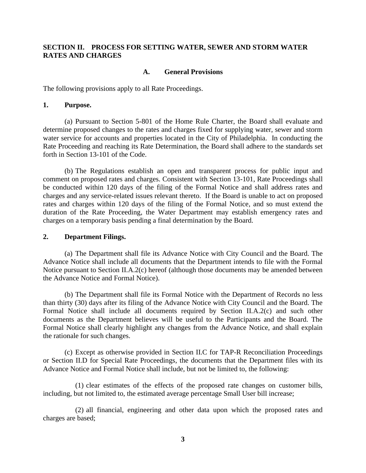# **SECTION II. PROCESS FOR SETTING WATER, SEWER AND STORM WATER RATES AND CHARGES**

#### **A. General Provisions**

The following provisions apply to all Rate Proceedings.

#### **1. Purpose.**

(a) Pursuant to Section 5-801 of the Home Rule Charter, the Board shall evaluate and determine proposed changes to the rates and charges fixed for supplying water, sewer and storm water service for accounts and properties located in the City of Philadelphia. In conducting the Rate Proceeding and reaching its Rate Determination, the Board shall adhere to the standards set forth in Section 13-101 of the Code.

(b) The Regulations establish an open and transparent process for public input and comment on proposed rates and charges. Consistent with Section 13-101, Rate Proceedings shall be conducted within 120 days of the filing of the Formal Notice and shall address rates and charges and any service-related issues relevant thereto. If the Board is unable to act on proposed rates and charges within 120 days of the filing of the Formal Notice, and so must extend the duration of the Rate Proceeding, the Water Department may establish emergency rates and charges on a temporary basis pending a final determination by the Board.

#### **2. Department Filings.**

(a) The Department shall file its Advance Notice with City Council and the Board. The Advance Notice shall include all documents that the Department intends to file with the Formal Notice pursuant to Section II.A.2(c) hereof (although those documents may be amended between the Advance Notice and Formal Notice).

(b) The Department shall file its Formal Notice with the Department of Records no less than thirty (30) days after its filing of the Advance Notice with City Council and the Board. The Formal Notice shall include all documents required by Section II.A.2(c) and such other documents as the Department believes will be useful to the Participants and the Board. The Formal Notice shall clearly highlight any changes from the Advance Notice, and shall explain the rationale for such changes.

(c) Except as otherwise provided in Section II.C for TAP-R Reconciliation Proceedings or Section II.D for Special Rate Proceedings, the documents that the Department files with its Advance Notice and Formal Notice shall include, but not be limited to, the following:

(1) clear estimates of the effects of the proposed rate changes on customer bills, including, but not limited to, the estimated average percentage Small User bill increase;

(2) all financial, engineering and other data upon which the proposed rates and charges are based;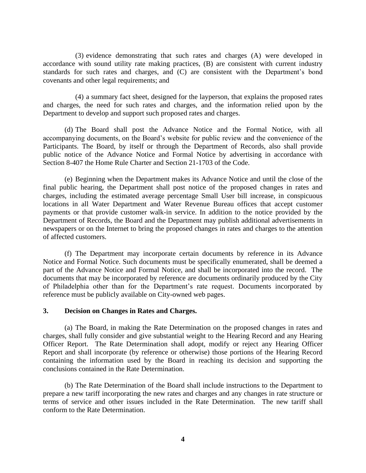(3) evidence demonstrating that such rates and charges (A) were developed in accordance with sound utility rate making practices, (B) are consistent with current industry standards for such rates and charges, and (C) are consistent with the Department's bond covenants and other legal requirements; and

(4) a summary fact sheet, designed for the layperson, that explains the proposed rates and charges, the need for such rates and charges, and the information relied upon by the Department to develop and support such proposed rates and charges.

(d) The Board shall post the Advance Notice and the Formal Notice, with all accompanying documents, on the Board's website for public review and the convenience of the Participants. The Board, by itself or through the Department of Records, also shall provide public notice of the Advance Notice and Formal Notice by advertising in accordance with Section 8-407 the Home Rule Charter and Section 21-1703 of the Code.

(e) Beginning when the Department makes its Advance Notice and until the close of the final public hearing, the Department shall post notice of the proposed changes in rates and charges, including the estimated average percentage Small User bill increase, in conspicuous locations in all Water Department and Water Revenue Bureau offices that accept customer payments or that provide customer walk-in service. In addition to the notice provided by the Department of Records, the Board and the Department may publish additional advertisements in newspapers or on the Internet to bring the proposed changes in rates and charges to the attention of affected customers.

(f) The Department may incorporate certain documents by reference in its Advance Notice and Formal Notice. Such documents must be specifically enumerated, shall be deemed a part of the Advance Notice and Formal Notice, and shall be incorporated into the record. The documents that may be incorporated by reference are documents ordinarily produced by the City of Philadelphia other than for the Department's rate request. Documents incorporated by reference must be publicly available on City-owned web pages.

#### **3. Decision on Changes in Rates and Charges.**

(a) The Board, in making the Rate Determination on the proposed changes in rates and charges, shall fully consider and give substantial weight to the Hearing Record and any Hearing Officer Report. The Rate Determination shall adopt, modify or reject any Hearing Officer Report and shall incorporate (by reference or otherwise) those portions of the Hearing Record containing the information used by the Board in reaching its decision and supporting the conclusions contained in the Rate Determination.

(b) The Rate Determination of the Board shall include instructions to the Department to prepare a new tariff incorporating the new rates and charges and any changes in rate structure or terms of service and other issues included in the Rate Determination. The new tariff shall conform to the Rate Determination.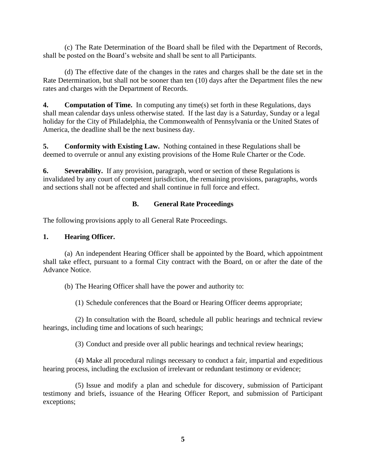(c) The Rate Determination of the Board shall be filed with the Department of Records, shall be posted on the Board's website and shall be sent to all Participants.

(d) The effective date of the changes in the rates and charges shall be the date set in the Rate Determination, but shall not be sooner than ten (10) days after the Department files the new rates and charges with the Department of Records.

**4. Computation of Time.** In computing any time(s) set forth in these Regulations, days shall mean calendar days unless otherwise stated. If the last day is a Saturday, Sunday or a legal holiday for the City of Philadelphia, the Commonwealth of Pennsylvania or the United States of America, the deadline shall be the next business day.

**5. Conformity with Existing Law.** Nothing contained in these Regulations shall be deemed to overrule or annul any existing provisions of the Home Rule Charter or the Code.

**6. Severability.** If any provision, paragraph, word or section of these Regulations is invalidated by any court of competent jurisdiction, the remaining provisions, paragraphs, words and sections shall not be affected and shall continue in full force and effect.

# **B. General Rate Proceedings**

The following provisions apply to all General Rate Proceedings.

# **1. Hearing Officer.**

(a) An independent Hearing Officer shall be appointed by the Board, which appointment shall take effect, pursuant to a formal City contract with the Board, on or after the date of the Advance Notice.

(b) The Hearing Officer shall have the power and authority to:

(1) Schedule conferences that the Board or Hearing Officer deems appropriate;

(2) In consultation with the Board, schedule all public hearings and technical review hearings, including time and locations of such hearings;

(3) Conduct and preside over all public hearings and technical review hearings;

(4) Make all procedural rulings necessary to conduct a fair, impartial and expeditious hearing process, including the exclusion of irrelevant or redundant testimony or evidence;

(5) Issue and modify a plan and schedule for discovery, submission of Participant testimony and briefs, issuance of the Hearing Officer Report, and submission of Participant exceptions;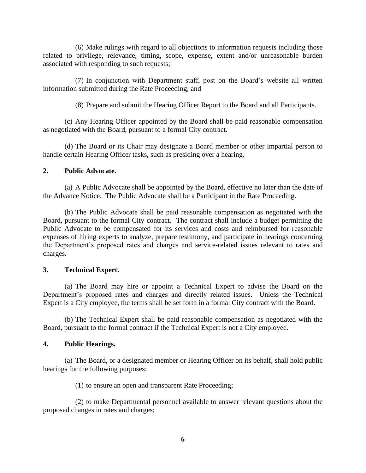(6) Make rulings with regard to all objections to information requests including those related to privilege, relevance, timing, scope, expense, extent and/or unreasonable burden associated with responding to such requests;

(7) In conjunction with Department staff, post on the Board's website all written information submitted during the Rate Proceeding; and

(8) Prepare and submit the Hearing Officer Report to the Board and all Participants.

(c) Any Hearing Officer appointed by the Board shall be paid reasonable compensation as negotiated with the Board, pursuant to a formal City contract.

(d) The Board or its Chair may designate a Board member or other impartial person to handle certain Hearing Officer tasks, such as presiding over a hearing.

# **2. Public Advocate.**

(a) A Public Advocate shall be appointed by the Board, effective no later than the date of the Advance Notice. The Public Advocate shall be a Participant in the Rate Proceeding.

(b) The Public Advocate shall be paid reasonable compensation as negotiated with the Board, pursuant to the formal City contract. The contract shall include a budget permitting the Public Advocate to be compensated for its services and costs and reimbursed for reasonable expenses of hiring experts to analyze, prepare testimony, and participate in hearings concerning the Department's proposed rates and charges and service-related issues relevant to rates and charges.

# **3. Technical Expert.**

(a) The Board may hire or appoint a Technical Expert to advise the Board on the Department's proposed rates and charges and directly related issues. Unless the Technical Expert is a City employee, the terms shall be set forth in a formal City contract with the Board.

(b) The Technical Expert shall be paid reasonable compensation as negotiated with the Board, pursuant to the formal contract if the Technical Expert is not a City employee.

# **4. Public Hearings.**

(a) The Board, or a designated member or Hearing Officer on its behalf, shall hold public hearings for the following purposes:

(1) to ensure an open and transparent Rate Proceeding;

(2) to make Departmental personnel available to answer relevant questions about the proposed changes in rates and charges;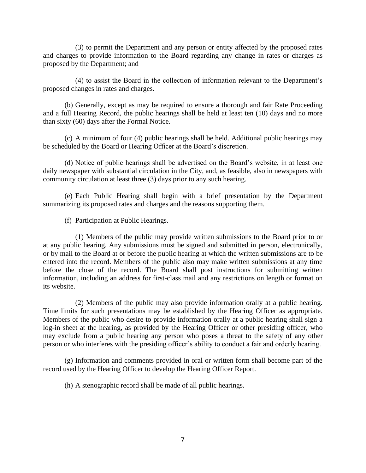(3) to permit the Department and any person or entity affected by the proposed rates and charges to provide information to the Board regarding any change in rates or charges as proposed by the Department; and

(4) to assist the Board in the collection of information relevant to the Department's proposed changes in rates and charges.

(b) Generally, except as may be required to ensure a thorough and fair Rate Proceeding and a full Hearing Record, the public hearings shall be held at least ten (10) days and no more than sixty (60) days after the Formal Notice.

(c) A minimum of four (4) public hearings shall be held. Additional public hearings may be scheduled by the Board or Hearing Officer at the Board's discretion.

(d) Notice of public hearings shall be advertised on the Board's website, in at least one daily newspaper with substantial circulation in the City, and, as feasible, also in newspapers with community circulation at least three (3) days prior to any such hearing.

(e) Each Public Hearing shall begin with a brief presentation by the Department summarizing its proposed rates and charges and the reasons supporting them.

(f) Participation at Public Hearings.

(1) Members of the public may provide written submissions to the Board prior to or at any public hearing. Any submissions must be signed and submitted in person, electronically, or by mail to the Board at or before the public hearing at which the written submissions are to be entered into the record. Members of the public also may make written submissions at any time before the close of the record. The Board shall post instructions for submitting written information, including an address for first-class mail and any restrictions on length or format on its website.

(2) Members of the public may also provide information orally at a public hearing. Time limits for such presentations may be established by the Hearing Officer as appropriate. Members of the public who desire to provide information orally at a public hearing shall sign a log-in sheet at the hearing, as provided by the Hearing Officer or other presiding officer, who may exclude from a public hearing any person who poses a threat to the safety of any other person or who interferes with the presiding officer's ability to conduct a fair and orderly hearing.

(g) Information and comments provided in oral or written form shall become part of the record used by the Hearing Officer to develop the Hearing Officer Report.

(h) A stenographic record shall be made of all public hearings.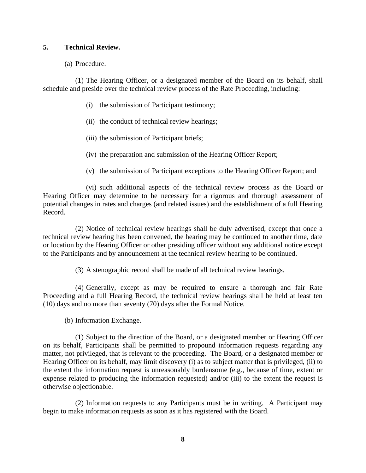# **5. Technical Review.**

(a) Procedure.

(1) The Hearing Officer, or a designated member of the Board on its behalf, shall schedule and preside over the technical review process of the Rate Proceeding, including:

- (i) the submission of Participant testimony;
- (ii) the conduct of technical review hearings;
- (iii) the submission of Participant briefs;
- (iv) the preparation and submission of the Hearing Officer Report;
- (v) the submission of Participant exceptions to the Hearing Officer Report; and

(vi) such additional aspects of the technical review process as the Board or Hearing Officer may determine to be necessary for a rigorous and thorough assessment of potential changes in rates and charges (and related issues) and the establishment of a full Hearing Record.

(2) Notice of technical review hearings shall be duly advertised, except that once a technical review hearing has been convened, the hearing may be continued to another time, date or location by the Hearing Officer or other presiding officer without any additional notice except to the Participants and by announcement at the technical review hearing to be continued.

(3) A stenographic record shall be made of all technical review hearings.

(4) Generally, except as may be required to ensure a thorough and fair Rate Proceeding and a full Hearing Record, the technical review hearings shall be held at least ten (10) days and no more than seventy (70) days after the Formal Notice.

(b) Information Exchange.

(1) Subject to the direction of the Board, or a designated member or Hearing Officer on its behalf, Participants shall be permitted to propound information requests regarding any matter, not privileged, that is relevant to the proceeding. The Board, or a designated member or Hearing Officer on its behalf, may limit discovery (i) as to subject matter that is privileged, (ii) to the extent the information request is unreasonably burdensome (e.g., because of time, extent or expense related to producing the information requested) and/or (iii) to the extent the request is otherwise objectionable.

(2) Information requests to any Participants must be in writing. A Participant may begin to make information requests as soon as it has registered with the Board.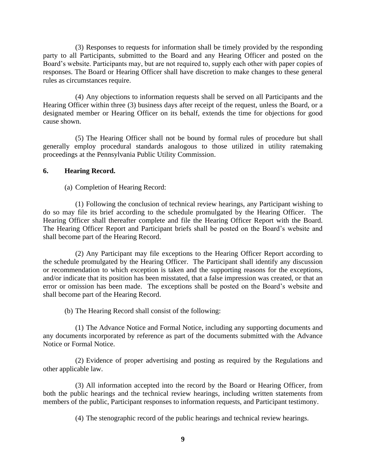(3) Responses to requests for information shall be timely provided by the responding party to all Participants, submitted to the Board and any Hearing Officer and posted on the Board's website. Participants may, but are not required to, supply each other with paper copies of responses. The Board or Hearing Officer shall have discretion to make changes to these general rules as circumstances require.

(4) Any objections to information requests shall be served on all Participants and the Hearing Officer within three (3) business days after receipt of the request, unless the Board, or a designated member or Hearing Officer on its behalf, extends the time for objections for good cause shown.

(5) The Hearing Officer shall not be bound by formal rules of procedure but shall generally employ procedural standards analogous to those utilized in utility ratemaking proceedings at the Pennsylvania Public Utility Commission.

# **6. Hearing Record.**

(a) Completion of Hearing Record:

(1) Following the conclusion of technical review hearings, any Participant wishing to do so may file its brief according to the schedule promulgated by the Hearing Officer. The Hearing Officer shall thereafter complete and file the Hearing Officer Report with the Board. The Hearing Officer Report and Participant briefs shall be posted on the Board's website and shall become part of the Hearing Record.

(2) Any Participant may file exceptions to the Hearing Officer Report according to the schedule promulgated by the Hearing Officer. The Participant shall identify any discussion or recommendation to which exception is taken and the supporting reasons for the exceptions, and/or indicate that its position has been misstated, that a false impression was created, or that an error or omission has been made. The exceptions shall be posted on the Board's website and shall become part of the Hearing Record.

(b) The Hearing Record shall consist of the following:

(1) The Advance Notice and Formal Notice, including any supporting documents and any documents incorporated by reference as part of the documents submitted with the Advance Notice or Formal Notice.

(2) Evidence of proper advertising and posting as required by the Regulations and other applicable law.

(3) All information accepted into the record by the Board or Hearing Officer, from both the public hearings and the technical review hearings, including written statements from members of the public, Participant responses to information requests, and Participant testimony.

(4) The stenographic record of the public hearings and technical review hearings.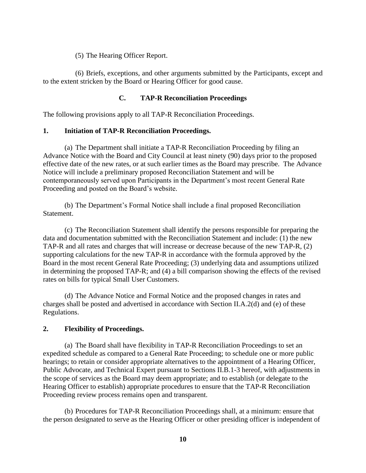(5) The Hearing Officer Report.

(6) Briefs, exceptions, and other arguments submitted by the Participants, except and to the extent stricken by the Board or Hearing Officer for good cause.

# **C. TAP-R Reconciliation Proceedings**

The following provisions apply to all TAP-R Reconciliation Proceedings.

# **1. Initiation of TAP-R Reconciliation Proceedings.**

(a) The Department shall initiate a TAP-R Reconciliation Proceeding by filing an Advance Notice with the Board and City Council at least ninety (90) days prior to the proposed effective date of the new rates, or at such earlier times as the Board may prescribe. The Advance Notice will include a preliminary proposed Reconciliation Statement and will be contemporaneously served upon Participants in the Department's most recent General Rate Proceeding and posted on the Board's website.

(b) The Department's Formal Notice shall include a final proposed Reconciliation Statement.

(c) The Reconciliation Statement shall identify the persons responsible for preparing the data and documentation submitted with the Reconciliation Statement and include: (1) the new TAP-R and all rates and charges that will increase or decrease because of the new TAP-R, (2) supporting calculations for the new TAP-R in accordance with the formula approved by the Board in the most recent General Rate Proceeding; (3) underlying data and assumptions utilized in determining the proposed TAP-R; and (4) a bill comparison showing the effects of the revised rates on bills for typical Small User Customers.

(d) The Advance Notice and Formal Notice and the proposed changes in rates and charges shall be posted and advertised in accordance with Section II.A.2(d) and (e) of these Regulations.

# **2. Flexibility of Proceedings.**

(a) The Board shall have flexibility in TAP-R Reconciliation Proceedings to set an expedited schedule as compared to a General Rate Proceeding; to schedule one or more public hearings; to retain or consider appropriate alternatives to the appointment of a Hearing Officer, Public Advocate, and Technical Expert pursuant to Sections II.B.1-3 hereof, with adjustments in the scope of services as the Board may deem appropriate; and to establish (or delegate to the Hearing Officer to establish) appropriate procedures to ensure that the TAP-R Reconciliation Proceeding review process remains open and transparent.

(b) Procedures for TAP-R Reconciliation Proceedings shall, at a minimum: ensure that the person designated to serve as the Hearing Officer or other presiding officer is independent of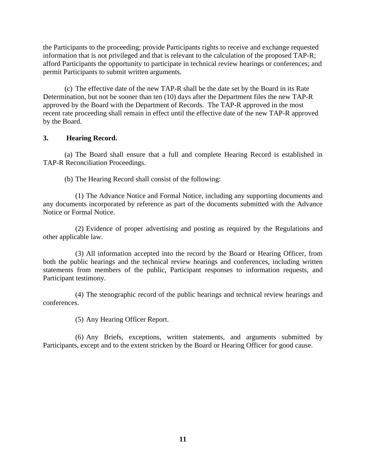the Participants to the proceeding; provide Participants rights to receive and exchange requested information that is not privileged and that is relevant to the calculation of the proposed TAP-R; afford Participants the opportunity to participate in technical review hearings or conferences; and permit Participants to submit written arguments.

(c) The effective date of the new TAP-R shall be the date set by the Board in its Rate Determination, but not be sooner than ten (10) days after the Department files the new TAP-R approved by the Board with the Department of Records. The TAP-R approved in the most recent rate proceeding shall remain in effect until the effective date of the new TAP-R approved by the Board.

# **3. Hearing Record.**

(a) The Board shall ensure that a full and complete Hearing Record is established in TAP-R Reconciliation Proceedings.

(b) The Hearing Record shall consist of the following:

(1) The Advance Notice and Formal Notice, including any supporting documents and any documents incorporated by reference as part of the documents submitted with the Advance Notice or Formal Notice.

(2) Evidence of proper advertising and posting as required by the Regulations and other applicable law.

(3) All information accepted into the record by the Board or Hearing Officer, from both the public hearings and the technical review hearings and conferences, including written statements from members of the public, Participant responses to information requests, and Participant testimony.

(4) The stenographic record of the public hearings and technical review hearings and conferences.

(5) Any Hearing Officer Report.

(6) Any Briefs, exceptions, written statements, and arguments submitted by Participants, except and to the extent stricken by the Board or Hearing Officer for good cause.